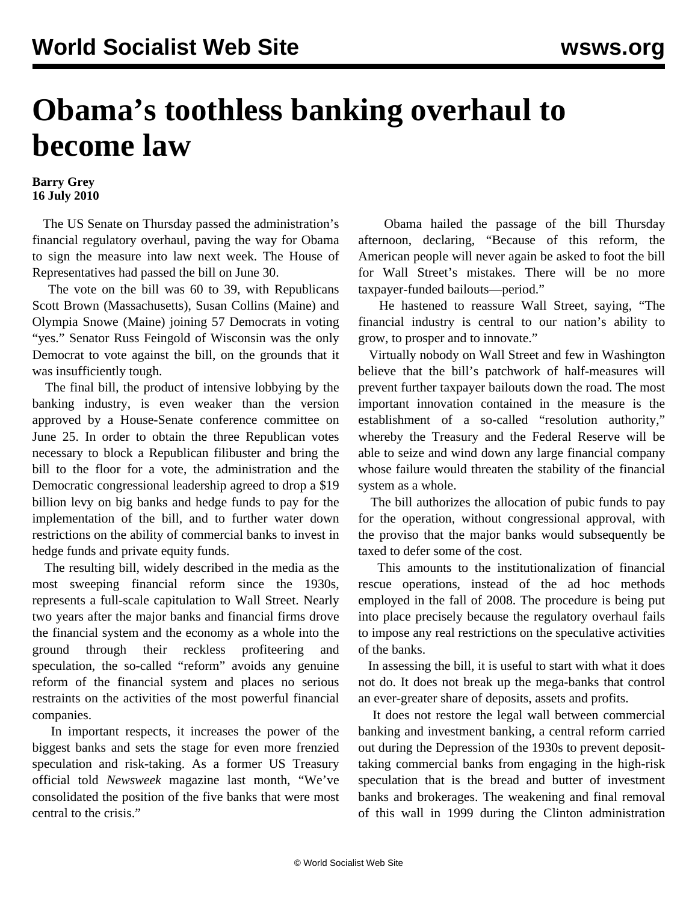## **Obama's toothless banking overhaul to become law**

## **Barry Grey 16 July 2010**

 The US Senate on Thursday passed the administration's financial regulatory overhaul, paving the way for Obama to sign the measure into law next week. The House of Representatives had passed the bill on June 30.

 The vote on the bill was 60 to 39, with Republicans Scott Brown (Massachusetts), Susan Collins (Maine) and Olympia Snowe (Maine) joining 57 Democrats in voting "yes." Senator Russ Feingold of Wisconsin was the only Democrat to vote against the bill, on the grounds that it was insufficiently tough.

 The final bill, the product of intensive lobbying by the banking industry, is even weaker than the version approved by a House-Senate conference committee on June 25. In order to obtain the three Republican votes necessary to block a Republican filibuster and bring the bill to the floor for a vote, the administration and the Democratic congressional leadership agreed to drop a \$19 billion levy on big banks and hedge funds to pay for the implementation of the bill, and to further water down restrictions on the ability of commercial banks to invest in hedge funds and private equity funds.

 The resulting bill, widely described in the media as the most sweeping financial reform since the 1930s, represents a full-scale capitulation to Wall Street. Nearly two years after the major banks and financial firms drove the financial system and the economy as a whole into the ground through their reckless profiteering and speculation, the so-called "reform" avoids any genuine reform of the financial system and places no serious restraints on the activities of the most powerful financial companies.

 In important respects, it increases the power of the biggest banks and sets the stage for even more frenzied speculation and risk-taking. As a former US Treasury official told *Newsweek* magazine last month, "We've consolidated the position of the five banks that were most central to the crisis."

 Obama hailed the passage of the bill Thursday afternoon, declaring, "Because of this reform, the American people will never again be asked to foot the bill for Wall Street's mistakes. There will be no more taxpayer-funded bailouts—period."

 He hastened to reassure Wall Street, saying, "The financial industry is central to our nation's ability to grow, to prosper and to innovate."

 Virtually nobody on Wall Street and few in Washington believe that the bill's patchwork of half-measures will prevent further taxpayer bailouts down the road. The most important innovation contained in the measure is the establishment of a so-called "resolution authority," whereby the Treasury and the Federal Reserve will be able to seize and wind down any large financial company whose failure would threaten the stability of the financial system as a whole.

 The bill authorizes the allocation of pubic funds to pay for the operation, without congressional approval, with the proviso that the major banks would subsequently be taxed to defer some of the cost.

 This amounts to the institutionalization of financial rescue operations, instead of the ad hoc methods employed in the fall of 2008. The procedure is being put into place precisely because the regulatory overhaul fails to impose any real restrictions on the speculative activities of the banks.

 In assessing the bill, it is useful to start with what it does not do. It does not break up the mega-banks that control an ever-greater share of deposits, assets and profits.

 It does not restore the legal wall between commercial banking and investment banking, a central reform carried out during the Depression of the 1930s to prevent deposittaking commercial banks from engaging in the high-risk speculation that is the bread and butter of investment banks and brokerages. The weakening and final removal of this wall in 1999 during the Clinton administration